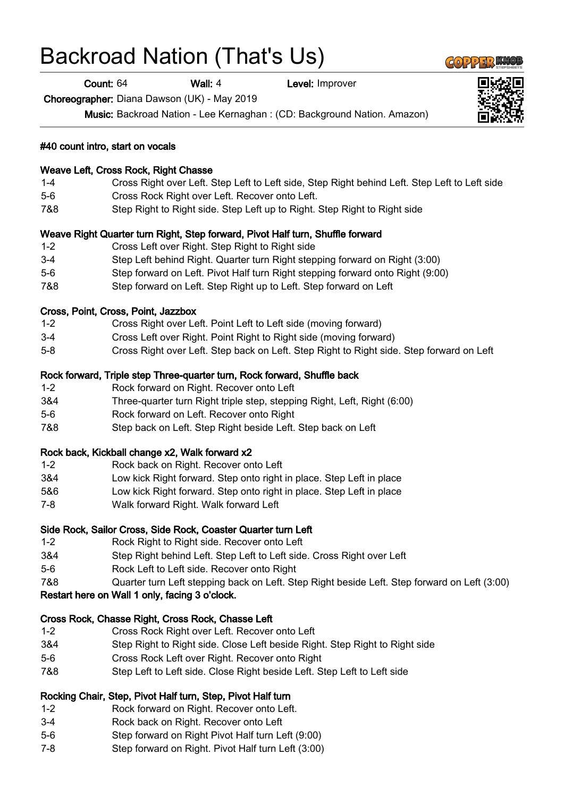# Backroad Nation (That's Us)

## Count: 64 Wall: 4 Level: Improver Choreographer: Diana Dawson (UK) - May 2019 Music: Backroad Nation - Lee Kernaghan : (CD: Background Nation. Amazon) #40 count intro, start on vocals

#### Weave Left, Cross Rock, Right Chasse

- 1-4 Cross Right over Left. Step Left to Left side, Step Right behind Left. Step Left to Left side
- 5-6 Cross Rock Right over Left. Recover onto Left.
- 7&8 Step Right to Right side. Step Left up to Right. Step Right to Right side

#### Weave Right Quarter turn Right, Step forward, Pivot Half turn, Shuffle forward

- 1-2 Cross Left over Right. Step Right to Right side
- 3-4 Step Left behind Right. Quarter turn Right stepping forward on Right (3:00)
- 5-6 Step forward on Left. Pivot Half turn Right stepping forward onto Right (9:00)
- 7&8 Step forward on Left. Step Right up to Left. Step forward on Left

#### Cross, Point, Cross, Point, Jazzbox

- 1-2 Cross Right over Left. Point Left to Left side (moving forward)
- 3-4 Cross Left over Right. Point Right to Right side (moving forward)
- 5-8 Cross Right over Left. Step back on Left. Step Right to Right side. Step forward on Left

#### Rock forward, Triple step Three-quarter turn, Rock forward, Shuffle back

- 1-2 Rock forward on Right. Recover onto Left
- 3&4 Three-quarter turn Right triple step, stepping Right, Left, Right (6:00)
- 5-6 Rock forward on Left. Recover onto Right
- 7&8 Step back on Left. Step Right beside Left. Step back on Left

#### Rock back, Kickball change x2, Walk forward x2

- 1-2 Rock back on Right. Recover onto Left
- 3&4 Low kick Right forward. Step onto right in place. Step Left in place
- 5&6 Low kick Right forward. Step onto right in place. Step Left in place
- 7-8 Walk forward Right. Walk forward Left

#### Side Rock, Sailor Cross, Side Rock, Coaster Quarter turn Left

- 1-2 Rock Right to Right side. Recover onto Left
- 3&4 Step Right behind Left. Step Left to Left side. Cross Right over Left
- 5-6 Rock Left to Left side. Recover onto Right
- 7&8 Quarter turn Left stepping back on Left. Step Right beside Left. Step forward on Left (3:00)

#### Restart here on Wall 1 only, facing 3 o'clock.

#### Cross Rock, Chasse Right, Cross Rock, Chasse Left

- 1-2 Cross Rock Right over Left. Recover onto Left
- 3&4 Step Right to Right side. Close Left beside Right. Step Right to Right side
- 5-6 Cross Rock Left over Right. Recover onto Right
- 7&8 Step Left to Left side. Close Right beside Left. Step Left to Left side

### Rocking Chair, Step, Pivot Half turn, Step, Pivot Half turn

- 1-2 Rock forward on Right. Recover onto Left.
- 3-4 Rock back on Right. Recover onto Left
- 5-6 Step forward on Right Pivot Half turn Left (9:00)
- 7-8 Step forward on Right. Pivot Half turn Left (3:00)